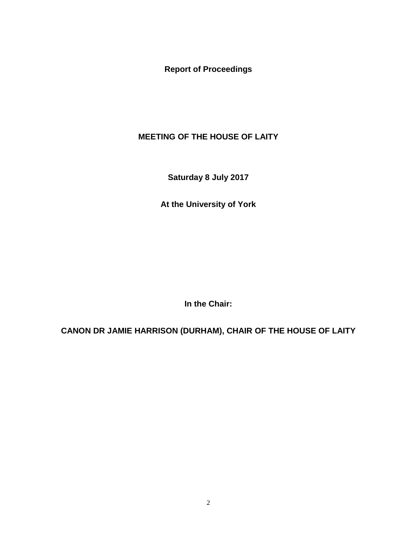**Report of Proceedings**

## **MEETING OF THE HOUSE OF LAITY**

**Saturday 8 July 2017**

**At the University of York**

**In the Chair:**

**CANON DR JAMIE HARRISON (DURHAM), CHAIR OF THE HOUSE OF LAITY**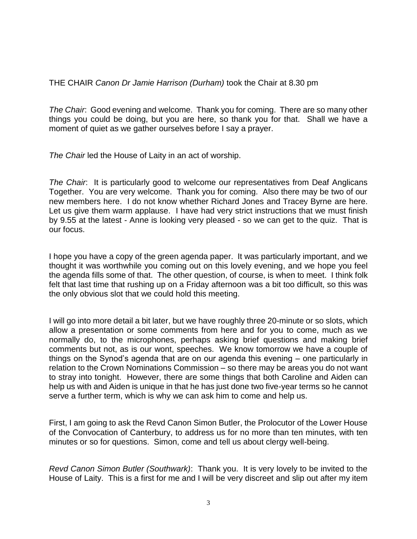THE CHAIR *Canon Dr Jamie Harrison (Durham)* took the Chair at 8.30 pm

*The Chair*: Good evening and welcome. Thank you for coming. There are so many other things you could be doing, but you are here, so thank you for that. Shall we have a moment of quiet as we gather ourselves before I say a prayer.

*The Chair* led the House of Laity in an act of worship.

*The Chair*: It is particularly good to welcome our representatives from Deaf Anglicans Together. You are very welcome. Thank you for coming. Also there may be two of our new members here. I do not know whether Richard Jones and Tracey Byrne are here. Let us give them warm applause. I have had very strict instructions that we must finish by 9.55 at the latest - Anne is looking very pleased - so we can get to the quiz. That is our focus.

I hope you have a copy of the green agenda paper. It was particularly important, and we thought it was worthwhile you coming out on this lovely evening, and we hope you feel the agenda fills some of that. The other question, of course, is when to meet. I think folk felt that last time that rushing up on a Friday afternoon was a bit too difficult, so this was the only obvious slot that we could hold this meeting.

I will go into more detail a bit later, but we have roughly three 20-minute or so slots, which allow a presentation or some comments from here and for you to come, much as we normally do, to the microphones, perhaps asking brief questions and making brief comments but not, as is our wont, speeches. We know tomorrow we have a couple of things on the Synod's agenda that are on our agenda this evening – one particularly in relation to the Crown Nominations Commission – so there may be areas you do not want to stray into tonight. However, there are some things that both Caroline and Aiden can help us with and Aiden is unique in that he has just done two five-year terms so he cannot serve a further term, which is why we can ask him to come and help us.

First, I am going to ask the Revd Canon Simon Butler, the Prolocutor of the Lower House of the Convocation of Canterbury, to address us for no more than ten minutes, with ten minutes or so for questions. Simon, come and tell us about clergy well-being.

*Revd Canon Simon Butler (Southwark)*: Thank you. It is very lovely to be invited to the House of Laity. This is a first for me and I will be very discreet and slip out after my item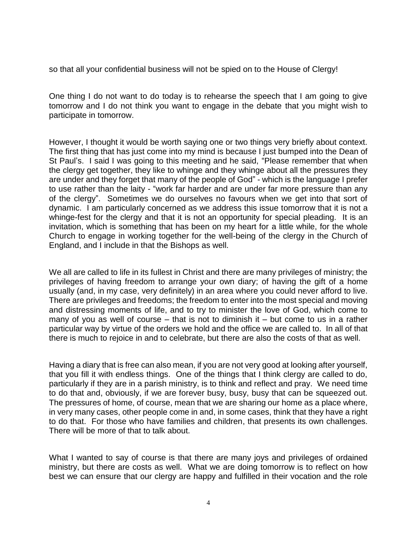so that all your confidential business will not be spied on to the House of Clergy!

One thing I do not want to do today is to rehearse the speech that I am going to give tomorrow and I do not think you want to engage in the debate that you might wish to participate in tomorrow.

However, I thought it would be worth saying one or two things very briefly about context. The first thing that has just come into my mind is because I just bumped into the Dean of St Paul's. I said I was going to this meeting and he said, "Please remember that when the clergy get together, they like to whinge and they whinge about all the pressures they are under and they forget that many of the people of God" - which is the language I prefer to use rather than the laity - "work far harder and are under far more pressure than any of the clergy". Sometimes we do ourselves no favours when we get into that sort of dynamic. I am particularly concerned as we address this issue tomorrow that it is not a whinge-fest for the clergy and that it is not an opportunity for special pleading. It is an invitation, which is something that has been on my heart for a little while, for the whole Church to engage in working together for the well-being of the clergy in the Church of England, and I include in that the Bishops as well.

We all are called to life in its fullest in Christ and there are many privileges of ministry; the privileges of having freedom to arrange your own diary; of having the gift of a home usually (and, in my case, very definitely) in an area where you could never afford to live. There are privileges and freedoms; the freedom to enter into the most special and moving and distressing moments of life, and to try to minister the love of God, which come to many of you as well of course – that is not to diminish it – but come to us in a rather particular way by virtue of the orders we hold and the office we are called to. In all of that there is much to rejoice in and to celebrate, but there are also the costs of that as well.

Having a diary that is free can also mean, if you are not very good at looking after yourself, that you fill it with endless things. One of the things that I think clergy are called to do, particularly if they are in a parish ministry, is to think and reflect and pray. We need time to do that and, obviously, if we are forever busy, busy, busy that can be squeezed out. The pressures of home, of course, mean that we are sharing our home as a place where, in very many cases, other people come in and, in some cases, think that they have a right to do that. For those who have families and children, that presents its own challenges. There will be more of that to talk about.

What I wanted to say of course is that there are many joys and privileges of ordained ministry, but there are costs as well. What we are doing tomorrow is to reflect on how best we can ensure that our clergy are happy and fulfilled in their vocation and the role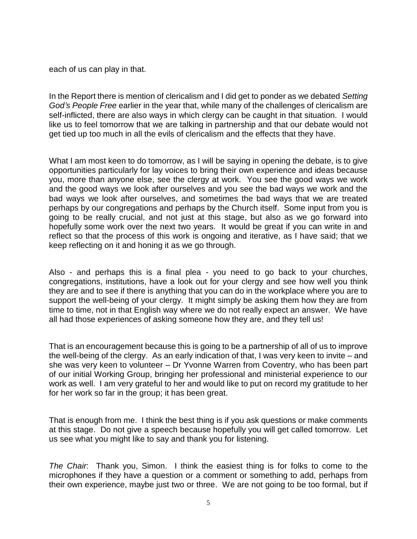each of us can play in that.

In the Report there is mention of clericalism and I did get to ponder as we debated *Setting God's People Free* earlier in the year that, while many of the challenges of clericalism are self-inflicted, there are also ways in which clergy can be caught in that situation. I would like us to feel tomorrow that we are talking in partnership and that our debate would not get tied up too much in all the evils of clericalism and the effects that they have.

What I am most keen to do tomorrow, as I will be saying in opening the debate, is to give opportunities particularly for lay voices to bring their own experience and ideas because you, more than anyone else, see the clergy at work. You see the good ways we work and the good ways we look after ourselves and you see the bad ways we work and the bad ways we look after ourselves, and sometimes the bad ways that we are treated perhaps by our congregations and perhaps by the Church itself. Some input from you is going to be really crucial, and not just at this stage, but also as we go forward into hopefully some work over the next two years. It would be great if you can write in and reflect so that the process of this work is ongoing and iterative, as I have said; that we keep reflecting on it and honing it as we go through.

Also - and perhaps this is a final plea - you need to go back to your churches, congregations, institutions, have a look out for your clergy and see how well you think they are and to see if there is anything that you can do in the workplace where you are to support the well-being of your clergy. It might simply be asking them how they are from time to time, not in that English way where we do not really expect an answer. We have all had those experiences of asking someone how they are, and they tell us!

That is an encouragement because this is going to be a partnership of all of us to improve the well-being of the clergy. As an early indication of that, I was very keen to invite – and she was very keen to volunteer – Dr Yvonne Warren from Coventry, who has been part of our initial Working Group, bringing her professional and ministerial experience to our work as well. I am very grateful to her and would like to put on record my gratitude to her for her work so far in the group; it has been great.

That is enough from me. I think the best thing is if you ask questions or make comments at this stage. Do not give a speech because hopefully you will get called tomorrow. Let us see what you might like to say and thank you for listening.

*The Chair*: Thank you, Simon. I think the easiest thing is for folks to come to the microphones if they have a question or a comment or something to add, perhaps from their own experience, maybe just two or three. We are not going to be too formal, but if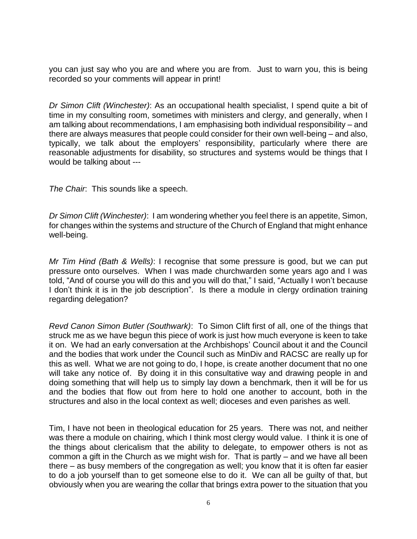you can just say who you are and where you are from. Just to warn you, this is being recorded so your comments will appear in print!

*Dr Simon Clift (Winchester)*: As an occupational health specialist, I spend quite a bit of time in my consulting room, sometimes with ministers and clergy, and generally, when I am talking about recommendations, I am emphasising both individual responsibility – and there are always measures that people could consider for their own well-being – and also, typically, we talk about the employers' responsibility, particularly where there are reasonable adjustments for disability, so structures and systems would be things that I would be talking about ---

*The Chair*: This sounds like a speech.

*Dr Simon Clift (Winchester)*: I am wondering whether you feel there is an appetite, Simon, for changes within the systems and structure of the Church of England that might enhance well-being.

*Mr Tim Hind (Bath & Wells)*: I recognise that some pressure is good, but we can put pressure onto ourselves. When I was made churchwarden some years ago and I was told, "And of course you will do this and you will do that," I said, "Actually I won't because I don't think it is in the job description". Is there a module in clergy ordination training regarding delegation?

*Revd Canon Simon Butler (Southwark)*: To Simon Clift first of all, one of the things that struck me as we have begun this piece of work is just how much everyone is keen to take it on. We had an early conversation at the Archbishops' Council about it and the Council and the bodies that work under the Council such as MinDiv and RACSC are really up for this as well. What we are not going to do, I hope, is create another document that no one will take any notice of. By doing it in this consultative way and drawing people in and doing something that will help us to simply lay down a benchmark, then it will be for us and the bodies that flow out from here to hold one another to account, both in the structures and also in the local context as well; dioceses and even parishes as well.

Tim, I have not been in theological education for 25 years. There was not, and neither was there a module on chairing, which I think most clergy would value. I think it is one of the things about clericalism that the ability to delegate, to empower others is not as common a gift in the Church as we might wish for. That is partly – and we have all been there – as busy members of the congregation as well; you know that it is often far easier to do a job yourself than to get someone else to do it. We can all be guilty of that, but obviously when you are wearing the collar that brings extra power to the situation that you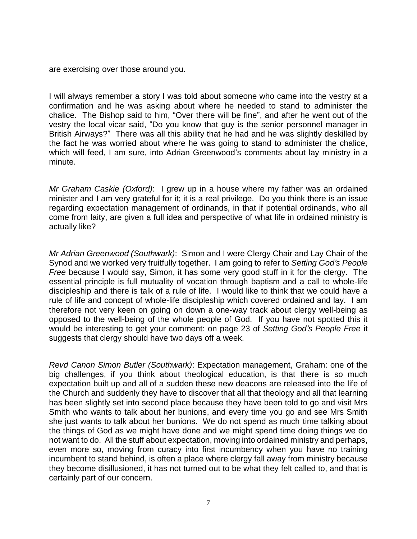are exercising over those around you.

I will always remember a story I was told about someone who came into the vestry at a confirmation and he was asking about where he needed to stand to administer the chalice. The Bishop said to him, "Over there will be fine", and after he went out of the vestry the local vicar said, "Do you know that guy is the senior personnel manager in British Airways?" There was all this ability that he had and he was slightly deskilled by the fact he was worried about where he was going to stand to administer the chalice, which will feed, I am sure, into Adrian Greenwood's comments about lay ministry in a minute.

*Mr Graham Caskie (Oxford)*: I grew up in a house where my father was an ordained minister and I am very grateful for it; it is a real privilege. Do you think there is an issue regarding expectation management of ordinands, in that if potential ordinands, who all come from laity, are given a full idea and perspective of what life in ordained ministry is actually like?

*Mr Adrian Greenwood (Southwark)*: Simon and I were Clergy Chair and Lay Chair of the Synod and we worked very fruitfully together. I am going to refer to *Setting God's People Free* because I would say, Simon, it has some very good stuff in it for the clergy. The essential principle is full mutuality of vocation through baptism and a call to whole-life discipleship and there is talk of a rule of life. I would like to think that we could have a rule of life and concept of whole-life discipleship which covered ordained and lay. I am therefore not very keen on going on down a one-way track about clergy well-being as opposed to the well-being of the whole people of God. If you have not spotted this it would be interesting to get your comment: on page 23 of *Setting God's People Free* it suggests that clergy should have two days off a week.

*Revd Canon Simon Butler (Southwark)*: Expectation management, Graham: one of the big challenges, if you think about theological education, is that there is so much expectation built up and all of a sudden these new deacons are released into the life of the Church and suddenly they have to discover that all that theology and all that learning has been slightly set into second place because they have been told to go and visit Mrs Smith who wants to talk about her bunions, and every time you go and see Mrs Smith she just wants to talk about her bunions. We do not spend as much time talking about the things of God as we might have done and we might spend time doing things we do not want to do. All the stuff about expectation, moving into ordained ministry and perhaps, even more so, moving from curacy into first incumbency when you have no training incumbent to stand behind, is often a place where clergy fall away from ministry because they become disillusioned, it has not turned out to be what they felt called to, and that is certainly part of our concern.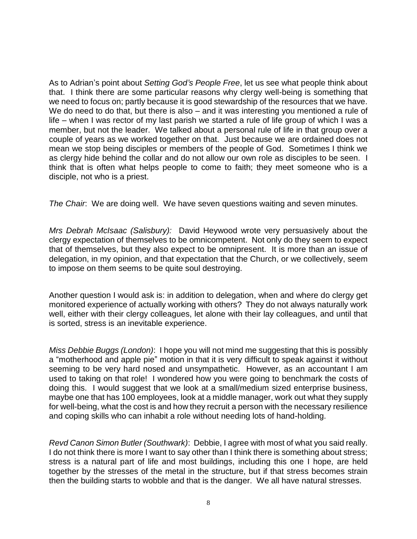As to Adrian's point about *Setting God's People Free*, let us see what people think about that. I think there are some particular reasons why clergy well-being is something that we need to focus on; partly because it is good stewardship of the resources that we have. We do need to do that, but there is also – and it was interesting you mentioned a rule of life – when I was rector of my last parish we started a rule of life group of which I was a member, but not the leader. We talked about a personal rule of life in that group over a couple of years as we worked together on that. Just because we are ordained does not mean we stop being disciples or members of the people of God. Sometimes I think we as clergy hide behind the collar and do not allow our own role as disciples to be seen. I think that is often what helps people to come to faith; they meet someone who is a disciple, not who is a priest.

*The Chair*: We are doing well. We have seven questions waiting and seven minutes.

*Mrs Debrah McIsaac (Salisbury):* David Heywood wrote very persuasively about the clergy expectation of themselves to be omnicompetent. Not only do they seem to expect that of themselves, but they also expect to be omnipresent. It is more than an issue of delegation, in my opinion, and that expectation that the Church, or we collectively, seem to impose on them seems to be quite soul destroying.

Another question I would ask is: in addition to delegation, when and where do clergy get monitored experience of actually working with others? They do not always naturally work well, either with their clergy colleagues, let alone with their lay colleagues, and until that is sorted, stress is an inevitable experience.

*Miss Debbie Buggs (London)*: I hope you will not mind me suggesting that this is possibly a "motherhood and apple pie" motion in that it is very difficult to speak against it without seeming to be very hard nosed and unsympathetic. However, as an accountant I am used to taking on that role! I wondered how you were going to benchmark the costs of doing this. I would suggest that we look at a small/medium sized enterprise business, maybe one that has 100 employees, look at a middle manager, work out what they supply for well-being, what the cost is and how they recruit a person with the necessary resilience and coping skills who can inhabit a role without needing lots of hand-holding.

*Revd Canon Simon Butler (Southwark)*: Debbie, I agree with most of what you said really. I do not think there is more I want to say other than I think there is something about stress; stress is a natural part of life and most buildings, including this one I hope, are held together by the stresses of the metal in the structure, but if that stress becomes strain then the building starts to wobble and that is the danger. We all have natural stresses.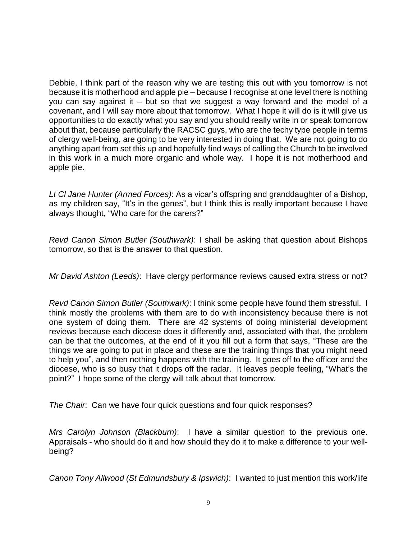Debbie, I think part of the reason why we are testing this out with you tomorrow is not because it is motherhood and apple pie – because I recognise at one level there is nothing you can say against it – but so that we suggest a way forward and the model of a covenant, and I will say more about that tomorrow. What I hope it will do is it will give us opportunities to do exactly what you say and you should really write in or speak tomorrow about that, because particularly the RACSC guys, who are the techy type people in terms of clergy well-being, are going to be very interested in doing that. We are not going to do anything apart from set this up and hopefully find ways of calling the Church to be involved in this work in a much more organic and whole way. I hope it is not motherhood and apple pie.

*Lt Cl Jane Hunter (Armed Forces)*: As a vicar's offspring and granddaughter of a Bishop, as my children say, "It's in the genes", but I think this is really important because I have always thought, "Who care for the carers?"

*Revd Canon Simon Butler (Southwark)*: I shall be asking that question about Bishops tomorrow, so that is the answer to that question.

*Mr David Ashton (Leeds)*: Have clergy performance reviews caused extra stress or not?

*Revd Canon Simon Butler (Southwark)*: I think some people have found them stressful. I think mostly the problems with them are to do with inconsistency because there is not one system of doing them. There are 42 systems of doing ministerial development reviews because each diocese does it differently and, associated with that, the problem can be that the outcomes, at the end of it you fill out a form that says, "These are the things we are going to put in place and these are the training things that you might need to help you", and then nothing happens with the training. It goes off to the officer and the diocese, who is so busy that it drops off the radar. It leaves people feeling, "What's the point?" I hope some of the clergy will talk about that tomorrow.

*The Chair*: Can we have four quick questions and four quick responses?

*Mrs Carolyn Johnson (Blackburn)*: I have a similar question to the previous one. Appraisals - who should do it and how should they do it to make a difference to your wellbeing?

*Canon Tony Allwood (St Edmundsbury & Ipswich)*: I wanted to just mention this work/life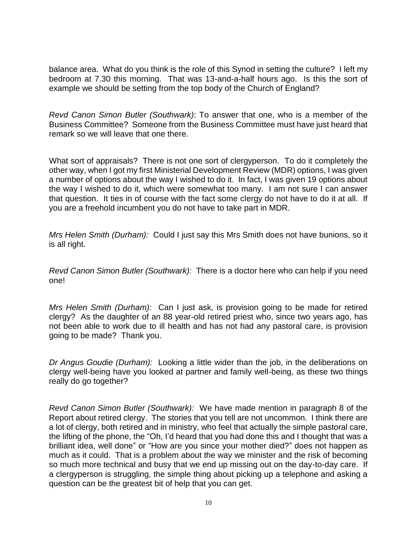balance area. What do you think is the role of this Synod in setting the culture? I left my bedroom at 7.30 this morning. That was 13-and-a-half hours ago. Is this the sort of example we should be setting from the top body of the Church of England?

*Revd Canon Simon Butler (Southwark)*: To answer that one, who is a member of the Business Committee? Someone from the Business Committee must have just heard that remark so we will leave that one there.

What sort of appraisals? There is not one sort of clergyperson. To do it completely the other way, when I got my first Ministerial Development Review (MDR) options, I was given a number of options about the way I wished to do it. In fact, I was given 19 options about the way I wished to do it, which were somewhat too many. I am not sure I can answer that question. It ties in of course with the fact some clergy do not have to do it at all. If you are a freehold incumbent you do not have to take part in MDR.

*Mrs Helen Smith (Durham):* Could I just say this Mrs Smith does not have bunions, so it is all right.

*Revd Canon Simon Butler (Southwark):* There is a doctor here who can help if you need one!

*Mrs Helen Smith (Durham):* Can I just ask, is provision going to be made for retired clergy? As the daughter of an 88 year-old retired priest who, since two years ago, has not been able to work due to ill health and has not had any pastoral care, is provision going to be made? Thank you.

*Dr Angus Goudie (Durham):* Looking a little wider than the job, in the deliberations on clergy well-being have you looked at partner and family well-being, as these two things really do go together?

*Revd Canon Simon Butler (Southwark):* We have made mention in paragraph 8 of the Report about retired clergy. The stories that you tell are not uncommon. I think there are a lot of clergy, both retired and in ministry, who feel that actually the simple pastoral care, the lifting of the phone, the "Oh, I'd heard that you had done this and I thought that was a brilliant idea, well done" or "How are you since your mother died?" does not happen as much as it could. That is a problem about the way we minister and the risk of becoming so much more technical and busy that we end up missing out on the day-to-day care. If a clergyperson is struggling, the simple thing about picking up a telephone and asking a question can be the greatest bit of help that you can get.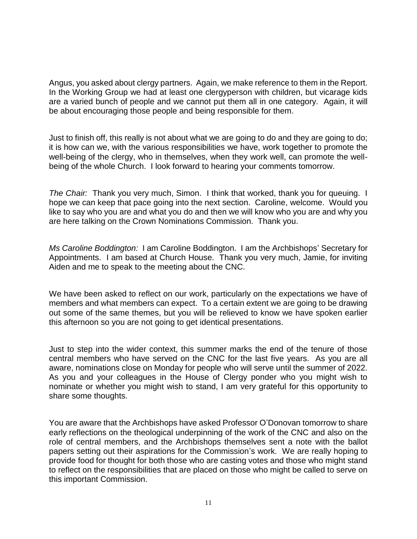Angus, you asked about clergy partners. Again, we make reference to them in the Report. In the Working Group we had at least one clergyperson with children, but vicarage kids are a varied bunch of people and we cannot put them all in one category. Again, it will be about encouraging those people and being responsible for them.

Just to finish off, this really is not about what we are going to do and they are going to do; it is how can we, with the various responsibilities we have, work together to promote the well-being of the clergy, who in themselves, when they work well, can promote the wellbeing of the whole Church. I look forward to hearing your comments tomorrow.

*The Chair:* Thank you very much, Simon. I think that worked, thank you for queuing. I hope we can keep that pace going into the next section. Caroline, welcome. Would you like to say who you are and what you do and then we will know who you are and why you are here talking on the Crown Nominations Commission. Thank you.

*Ms Caroline Boddington:* I am Caroline Boddington. I am the Archbishops' Secretary for Appointments. I am based at Church House. Thank you very much, Jamie, for inviting Aiden and me to speak to the meeting about the CNC.

We have been asked to reflect on our work, particularly on the expectations we have of members and what members can expect. To a certain extent we are going to be drawing out some of the same themes, but you will be relieved to know we have spoken earlier this afternoon so you are not going to get identical presentations.

Just to step into the wider context, this summer marks the end of the tenure of those central members who have served on the CNC for the last five years. As you are all aware, nominations close on Monday for people who will serve until the summer of 2022. As you and your colleagues in the House of Clergy ponder who you might wish to nominate or whether you might wish to stand, I am very grateful for this opportunity to share some thoughts.

You are aware that the Archbishops have asked Professor O'Donovan tomorrow to share early reflections on the theological underpinning of the work of the CNC and also on the role of central members, and the Archbishops themselves sent a note with the ballot papers setting out their aspirations for the Commission's work. We are really hoping to provide food for thought for both those who are casting votes and those who might stand to reflect on the responsibilities that are placed on those who might be called to serve on this important Commission.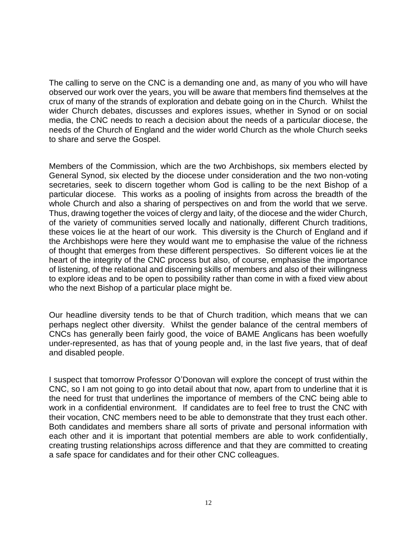The calling to serve on the CNC is a demanding one and, as many of you who will have observed our work over the years, you will be aware that members find themselves at the crux of many of the strands of exploration and debate going on in the Church. Whilst the wider Church debates, discusses and explores issues, whether in Synod or on social media, the CNC needs to reach a decision about the needs of a particular diocese, the needs of the Church of England and the wider world Church as the whole Church seeks to share and serve the Gospel.

Members of the Commission, which are the two Archbishops, six members elected by General Synod, six elected by the diocese under consideration and the two non-voting secretaries, seek to discern together whom God is calling to be the next Bishop of a particular diocese. This works as a pooling of insights from across the breadth of the whole Church and also a sharing of perspectives on and from the world that we serve. Thus, drawing together the voices of clergy and laity, of the diocese and the wider Church, of the variety of communities served locally and nationally, different Church traditions, these voices lie at the heart of our work. This diversity is the Church of England and if the Archbishops were here they would want me to emphasise the value of the richness of thought that emerges from these different perspectives. So different voices lie at the heart of the integrity of the CNC process but also, of course, emphasise the importance of listening, of the relational and discerning skills of members and also of their willingness to explore ideas and to be open to possibility rather than come in with a fixed view about who the next Bishop of a particular place might be.

Our headline diversity tends to be that of Church tradition, which means that we can perhaps neglect other diversity. Whilst the gender balance of the central members of CNCs has generally been fairly good, the voice of BAME Anglicans has been woefully under-represented, as has that of young people and, in the last five years, that of deaf and disabled people.

I suspect that tomorrow Professor O'Donovan will explore the concept of trust within the CNC, so I am not going to go into detail about that now, apart from to underline that it is the need for trust that underlines the importance of members of the CNC being able to work in a confidential environment. If candidates are to feel free to trust the CNC with their vocation, CNC members need to be able to demonstrate that they trust each other. Both candidates and members share all sorts of private and personal information with each other and it is important that potential members are able to work confidentially, creating trusting relationships across difference and that they are committed to creating a safe space for candidates and for their other CNC colleagues.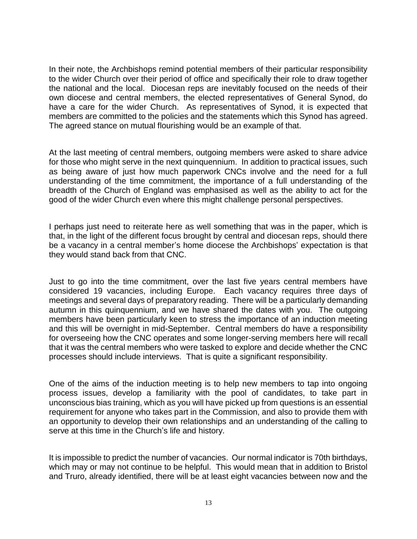In their note, the Archbishops remind potential members of their particular responsibility to the wider Church over their period of office and specifically their role to draw together the national and the local. Diocesan reps are inevitably focused on the needs of their own diocese and central members, the elected representatives of General Synod, do have a care for the wider Church. As representatives of Synod, it is expected that members are committed to the policies and the statements which this Synod has agreed. The agreed stance on mutual flourishing would be an example of that.

At the last meeting of central members, outgoing members were asked to share advice for those who might serve in the next quinquennium. In addition to practical issues, such as being aware of just how much paperwork CNCs involve and the need for a full understanding of the time commitment, the importance of a full understanding of the breadth of the Church of England was emphasised as well as the ability to act for the good of the wider Church even where this might challenge personal perspectives.

I perhaps just need to reiterate here as well something that was in the paper, which is that, in the light of the different focus brought by central and diocesan reps, should there be a vacancy in a central member's home diocese the Archbishops' expectation is that they would stand back from that CNC.

Just to go into the time commitment, over the last five years central members have considered 19 vacancies, including Europe. Each vacancy requires three days of meetings and several days of preparatory reading. There will be a particularly demanding autumn in this quinquennium, and we have shared the dates with you. The outgoing members have been particularly keen to stress the importance of an induction meeting and this will be overnight in mid-September. Central members do have a responsibility for overseeing how the CNC operates and some longer-serving members here will recall that it was the central members who were tasked to explore and decide whether the CNC processes should include interviews. That is quite a significant responsibility.

One of the aims of the induction meeting is to help new members to tap into ongoing process issues, develop a familiarity with the pool of candidates, to take part in unconscious bias training, which as you will have picked up from questions is an essential requirement for anyone who takes part in the Commission, and also to provide them with an opportunity to develop their own relationships and an understanding of the calling to serve at this time in the Church's life and history.

It is impossible to predict the number of vacancies. Our normal indicator is 70th birthdays, which may or may not continue to be helpful. This would mean that in addition to Bristol and Truro, already identified, there will be at least eight vacancies between now and the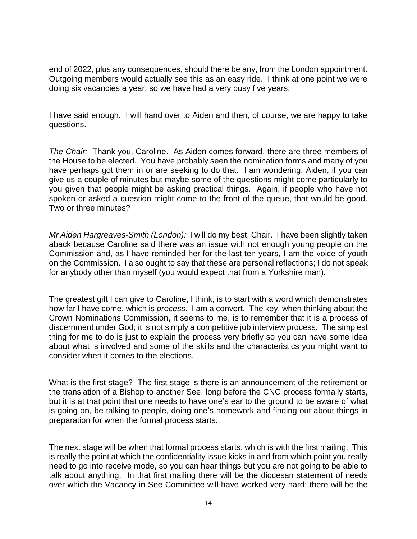end of 2022, plus any consequences, should there be any, from the London appointment. Outgoing members would actually see this as an easy ride. I think at one point we were doing six vacancies a year, so we have had a very busy five years.

I have said enough. I will hand over to Aiden and then, of course, we are happy to take questions.

*The Chair:* Thank you, Caroline. As Aiden comes forward, there are three members of the House to be elected. You have probably seen the nomination forms and many of you have perhaps got them in or are seeking to do that. I am wondering, Aiden, if you can give us a couple of minutes but maybe some of the questions might come particularly to you given that people might be asking practical things. Again, if people who have not spoken or asked a question might come to the front of the queue, that would be good. Two or three minutes?

*Mr Aiden Hargreaves-Smith (London):* I will do my best, Chair. I have been slightly taken aback because Caroline said there was an issue with not enough young people on the Commission and, as I have reminded her for the last ten years, I am the voice of youth on the Commission. I also ought to say that these are personal reflections; I do not speak for anybody other than myself (you would expect that from a Yorkshire man).

The greatest gift I can give to Caroline, I think, is to start with a word which demonstrates how far I have come, which is *process*. I am a convert. The key, when thinking about the Crown Nominations Commission, it seems to me, is to remember that it is a process of discernment under God; it is not simply a competitive job interview process. The simplest thing for me to do is just to explain the process very briefly so you can have some idea about what is involved and some of the skills and the characteristics you might want to consider when it comes to the elections.

What is the first stage? The first stage is there is an announcement of the retirement or the translation of a Bishop to another See, long before the CNC process formally starts, but it is at that point that one needs to have one's ear to the ground to be aware of what is going on, be talking to people, doing one's homework and finding out about things in preparation for when the formal process starts.

The next stage will be when that formal process starts, which is with the first mailing. This is really the point at which the confidentiality issue kicks in and from which point you really need to go into receive mode, so you can hear things but you are not going to be able to talk about anything. In that first mailing there will be the diocesan statement of needs over which the Vacancy-in-See Committee will have worked very hard; there will be the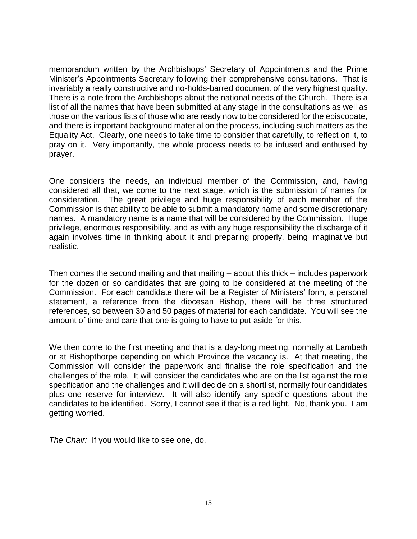memorandum written by the Archbishops' Secretary of Appointments and the Prime Minister's Appointments Secretary following their comprehensive consultations. That is invariably a really constructive and no-holds-barred document of the very highest quality. There is a note from the Archbishops about the national needs of the Church. There is a list of all the names that have been submitted at any stage in the consultations as well as those on the various lists of those who are ready now to be considered for the episcopate, and there is important background material on the process, including such matters as the Equality Act. Clearly, one needs to take time to consider that carefully, to reflect on it, to pray on it. Very importantly, the whole process needs to be infused and enthused by prayer.

One considers the needs, an individual member of the Commission, and, having considered all that, we come to the next stage, which is the submission of names for consideration. The great privilege and huge responsibility of each member of the Commission is that ability to be able to submit a mandatory name and some discretionary names. A mandatory name is a name that will be considered by the Commission. Huge privilege, enormous responsibility, and as with any huge responsibility the discharge of it again involves time in thinking about it and preparing properly, being imaginative but realistic.

Then comes the second mailing and that mailing – about this thick – includes paperwork for the dozen or so candidates that are going to be considered at the meeting of the Commission. For each candidate there will be a Register of Ministers' form, a personal statement, a reference from the diocesan Bishop, there will be three structured references, so between 30 and 50 pages of material for each candidate. You will see the amount of time and care that one is going to have to put aside for this.

We then come to the first meeting and that is a day-long meeting, normally at Lambeth or at Bishopthorpe depending on which Province the vacancy is. At that meeting, the Commission will consider the paperwork and finalise the role specification and the challenges of the role. It will consider the candidates who are on the list against the role specification and the challenges and it will decide on a shortlist, normally four candidates plus one reserve for interview. It will also identify any specific questions about the candidates to be identified. Sorry, I cannot see if that is a red light. No, thank you. I am getting worried.

*The Chair:* If you would like to see one, do.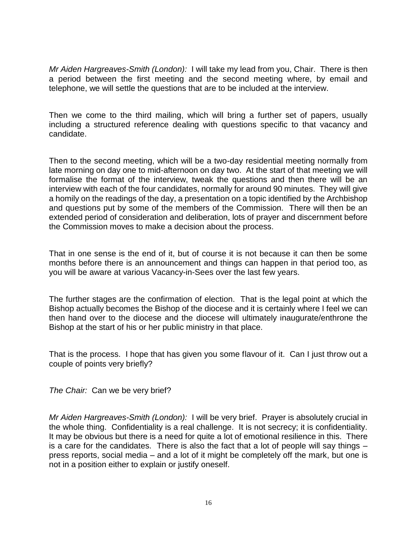*Mr Aiden Hargreaves-Smith (London):* I will take my lead from you, Chair. There is then a period between the first meeting and the second meeting where, by email and telephone, we will settle the questions that are to be included at the interview.

Then we come to the third mailing, which will bring a further set of papers, usually including a structured reference dealing with questions specific to that vacancy and candidate.

Then to the second meeting, which will be a two-day residential meeting normally from late morning on day one to mid-afternoon on day two. At the start of that meeting we will formalise the format of the interview, tweak the questions and then there will be an interview with each of the four candidates, normally for around 90 minutes. They will give a homily on the readings of the day, a presentation on a topic identified by the Archbishop and questions put by some of the members of the Commission. There will then be an extended period of consideration and deliberation, lots of prayer and discernment before the Commission moves to make a decision about the process.

That in one sense is the end of it, but of course it is not because it can then be some months before there is an announcement and things can happen in that period too, as you will be aware at various Vacancy-in-Sees over the last few years.

The further stages are the confirmation of election. That is the legal point at which the Bishop actually becomes the Bishop of the diocese and it is certainly where I feel we can then hand over to the diocese and the diocese will ultimately inaugurate/enthrone the Bishop at the start of his or her public ministry in that place.

That is the process. I hope that has given you some flavour of it. Can I just throw out a couple of points very briefly?

*The Chair:* Can we be very brief?

*Mr Aiden Hargreaves-Smith (London):* I will be very brief. Prayer is absolutely crucial in the whole thing. Confidentiality is a real challenge. It is not secrecy; it is confidentiality. It may be obvious but there is a need for quite a lot of emotional resilience in this. There is a care for the candidates. There is also the fact that a lot of people will say things – press reports, social media – and a lot of it might be completely off the mark, but one is not in a position either to explain or justify oneself.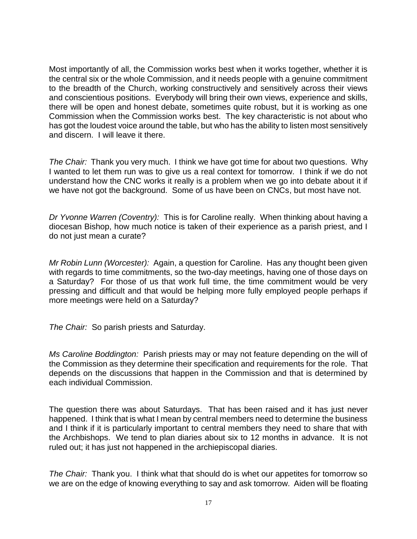Most importantly of all, the Commission works best when it works together, whether it is the central six or the whole Commission, and it needs people with a genuine commitment to the breadth of the Church, working constructively and sensitively across their views and conscientious positions. Everybody will bring their own views, experience and skills, there will be open and honest debate, sometimes quite robust, but it is working as one Commission when the Commission works best. The key characteristic is not about who has got the loudest voice around the table, but who has the ability to listen most sensitively and discern. I will leave it there.

*The Chair:* Thank you very much. I think we have got time for about two questions. Why I wanted to let them run was to give us a real context for tomorrow. I think if we do not understand how the CNC works it really is a problem when we go into debate about it if we have not got the background. Some of us have been on CNCs, but most have not.

*Dr Yvonne Warren (Coventry):* This is for Caroline really. When thinking about having a diocesan Bishop, how much notice is taken of their experience as a parish priest, and I do not just mean a curate?

*Mr Robin Lunn (Worcester):* Again, a question for Caroline. Has any thought been given with regards to time commitments, so the two-day meetings, having one of those days on a Saturday? For those of us that work full time, the time commitment would be very pressing and difficult and that would be helping more fully employed people perhaps if more meetings were held on a Saturday?

*The Chair:* So parish priests and Saturday.

*Ms Caroline Boddington:* Parish priests may or may not feature depending on the will of the Commission as they determine their specification and requirements for the role. That depends on the discussions that happen in the Commission and that is determined by each individual Commission.

The question there was about Saturdays. That has been raised and it has just never happened. I think that is what I mean by central members need to determine the business and I think if it is particularly important to central members they need to share that with the Archbishops. We tend to plan diaries about six to 12 months in advance. It is not ruled out; it has just not happened in the archiepiscopal diaries.

*The Chair:* Thank you. I think what that should do is whet our appetites for tomorrow so we are on the edge of knowing everything to say and ask tomorrow. Aiden will be floating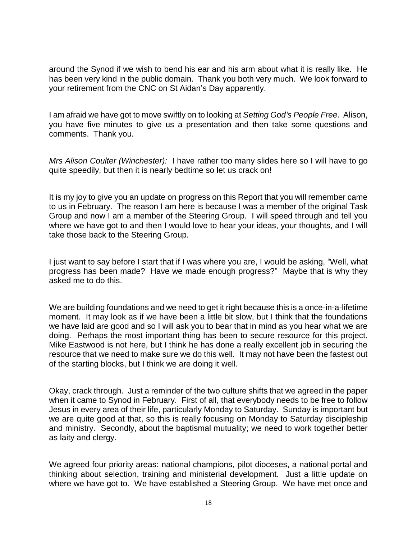around the Synod if we wish to bend his ear and his arm about what it is really like. He has been very kind in the public domain. Thank you both very much. We look forward to your retirement from the CNC on St Aidan's Day apparently.

I am afraid we have got to move swiftly on to looking at *Setting God's People Free*. Alison, you have five minutes to give us a presentation and then take some questions and comments. Thank you.

*Mrs Alison Coulter (Winchester):* I have rather too many slides here so I will have to go quite speedily, but then it is nearly bedtime so let us crack on!

It is my joy to give you an update on progress on this Report that you will remember came to us in February. The reason I am here is because I was a member of the original Task Group and now I am a member of the Steering Group. I will speed through and tell you where we have got to and then I would love to hear your ideas, your thoughts, and I will take those back to the Steering Group.

I just want to say before I start that if I was where you are, I would be asking, "Well, what progress has been made? Have we made enough progress?" Maybe that is why they asked me to do this.

We are building foundations and we need to get it right because this is a once-in-a-lifetime moment. It may look as if we have been a little bit slow, but I think that the foundations we have laid are good and so I will ask you to bear that in mind as you hear what we are doing. Perhaps the most important thing has been to secure resource for this project. Mike Eastwood is not here, but I think he has done a really excellent job in securing the resource that we need to make sure we do this well. It may not have been the fastest out of the starting blocks, but I think we are doing it well.

Okay, crack through. Just a reminder of the two culture shifts that we agreed in the paper when it came to Synod in February. First of all, that everybody needs to be free to follow Jesus in every area of their life, particularly Monday to Saturday. Sunday is important but we are quite good at that, so this is really focusing on Monday to Saturday discipleship and ministry. Secondly, about the baptismal mutuality; we need to work together better as laity and clergy.

We agreed four priority areas: national champions, pilot dioceses, a national portal and thinking about selection, training and ministerial development. Just a little update on where we have got to. We have established a Steering Group. We have met once and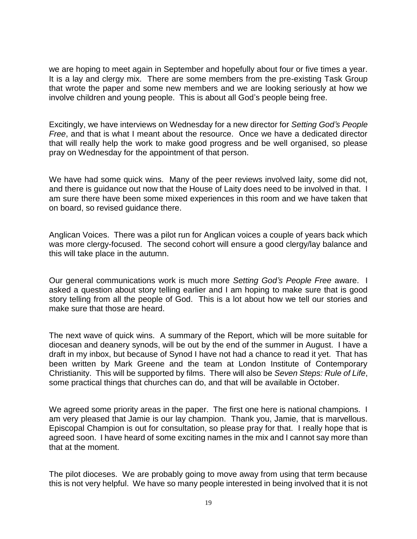we are hoping to meet again in September and hopefully about four or five times a year. It is a lay and clergy mix. There are some members from the pre-existing Task Group that wrote the paper and some new members and we are looking seriously at how we involve children and young people. This is about all God's people being free.

Excitingly, we have interviews on Wednesday for a new director for *Setting God's People Free*, and that is what I meant about the resource. Once we have a dedicated director that will really help the work to make good progress and be well organised, so please pray on Wednesday for the appointment of that person.

We have had some quick wins. Many of the peer reviews involved laity, some did not, and there is guidance out now that the House of Laity does need to be involved in that. I am sure there have been some mixed experiences in this room and we have taken that on board, so revised guidance there.

Anglican Voices. There was a pilot run for Anglican voices a couple of years back which was more clergy-focused. The second cohort will ensure a good clergy/lay balance and this will take place in the autumn.

Our general communications work is much more *Setting God's People Free* aware. I asked a question about story telling earlier and I am hoping to make sure that is good story telling from all the people of God. This is a lot about how we tell our stories and make sure that those are heard.

The next wave of quick wins. A summary of the Report, which will be more suitable for diocesan and deanery synods, will be out by the end of the summer in August. I have a draft in my inbox, but because of Synod I have not had a chance to read it yet. That has been written by Mark Greene and the team at London Institute of Contemporary Christianity. This will be supported by films. There will also be *Seven Steps: Rule of Life*, some practical things that churches can do, and that will be available in October.

We agreed some priority areas in the paper. The first one here is national champions. I am very pleased that Jamie is our lay champion. Thank you, Jamie, that is marvellous. Episcopal Champion is out for consultation, so please pray for that. I really hope that is agreed soon. I have heard of some exciting names in the mix and I cannot say more than that at the moment.

The pilot dioceses. We are probably going to move away from using that term because this is not very helpful. We have so many people interested in being involved that it is not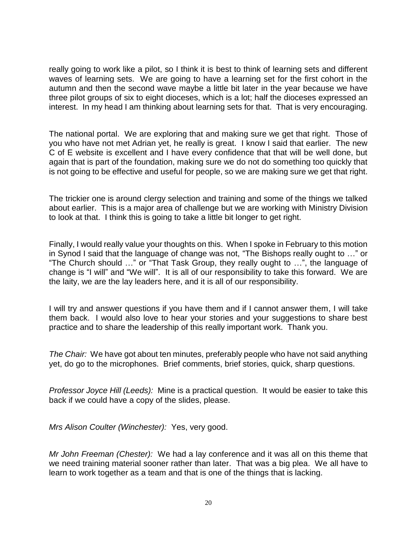really going to work like a pilot, so I think it is best to think of learning sets and different waves of learning sets. We are going to have a learning set for the first cohort in the autumn and then the second wave maybe a little bit later in the year because we have three pilot groups of six to eight dioceses, which is a lot; half the dioceses expressed an interest. In my head I am thinking about learning sets for that. That is very encouraging.

The national portal. We are exploring that and making sure we get that right. Those of you who have not met Adrian yet, he really is great. I know I said that earlier. The new C of E website is excellent and I have every confidence that that will be well done, but again that is part of the foundation, making sure we do not do something too quickly that is not going to be effective and useful for people, so we are making sure we get that right.

The trickier one is around clergy selection and training and some of the things we talked about earlier. This is a major area of challenge but we are working with Ministry Division to look at that. I think this is going to take a little bit longer to get right.

Finally, I would really value your thoughts on this. When I spoke in February to this motion in Synod I said that the language of change was not, "The Bishops really ought to …" or "The Church should …" or "That Task Group, they really ought to …", the language of change is "I will" and "We will". It is all of our responsibility to take this forward. We are the laity, we are the lay leaders here, and it is all of our responsibility.

I will try and answer questions if you have them and if I cannot answer them, I will take them back. I would also love to hear your stories and your suggestions to share best practice and to share the leadership of this really important work. Thank you.

*The Chair:* We have got about ten minutes, preferably people who have not said anything yet, do go to the microphones. Brief comments, brief stories, quick, sharp questions.

*Professor Joyce Hill (Leeds):* Mine is a practical question. It would be easier to take this back if we could have a copy of the slides, please.

*Mrs Alison Coulter (Winchester):* Yes, very good.

*Mr John Freeman (Chester):* We had a lay conference and it was all on this theme that we need training material sooner rather than later. That was a big plea. We all have to learn to work together as a team and that is one of the things that is lacking.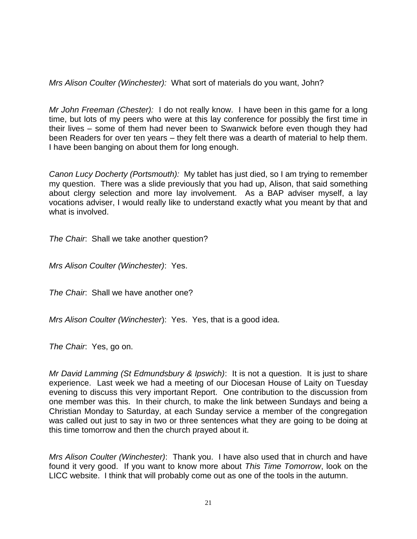*Mrs Alison Coulter (Winchester):* What sort of materials do you want, John?

*Mr John Freeman (Chester):* I do not really know. I have been in this game for a long time, but lots of my peers who were at this lay conference for possibly the first time in their lives – some of them had never been to Swanwick before even though they had been Readers for over ten years – they felt there was a dearth of material to help them. I have been banging on about them for long enough.

*Canon Lucy Docherty (Portsmouth):* My tablet has just died, so I am trying to remember my question. There was a slide previously that you had up, Alison, that said something about clergy selection and more lay involvement. As a BAP adviser myself, a lay vocations adviser, I would really like to understand exactly what you meant by that and what is involved.

*The Chair*: Shall we take another question?

*Mrs Alison Coulter (Winchester)*: Yes.

*The Chair*: Shall we have another one?

*Mrs Alison Coulter (Winchester*): Yes. Yes, that is a good idea.

*The Chair*: Yes, go on.

*Mr David Lamming (St Edmundsbury & Ipswich)*: It is not a question. It is just to share experience. Last week we had a meeting of our Diocesan House of Laity on Tuesday evening to discuss this very important Report. One contribution to the discussion from one member was this. In their church, to make the link between Sundays and being a Christian Monday to Saturday, at each Sunday service a member of the congregation was called out just to say in two or three sentences what they are going to be doing at this time tomorrow and then the church prayed about it.

*Mrs Alison Coulter (Winchester)*: Thank you. I have also used that in church and have found it very good. If you want to know more about *This Time Tomorrow*, look on the LICC website. I think that will probably come out as one of the tools in the autumn.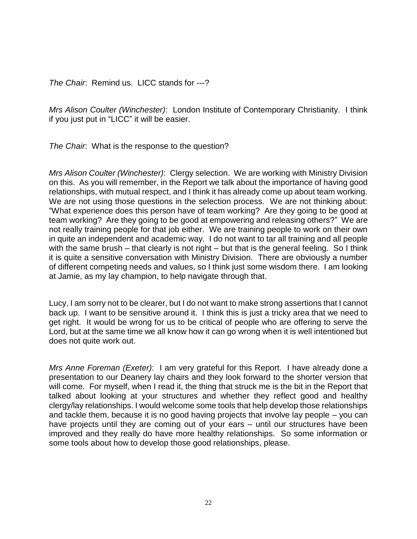*The Chair*: Remind us. LICC stands for ---?

*Mrs Alison Coulter (Winchester)*: London Institute of Contemporary Christianity. I think if you just put in "LICC" it will be easier.

*The Chair*: What is the response to the question?

*Mrs Alison Coulter (Winchester)*: Clergy selection. We are working with Ministry Division on this. As you will remember, in the Report we talk about the importance of having good relationships, with mutual respect, and I think it has already come up about team working. We are not using those questions in the selection process. We are not thinking about: "What experience does this person have of team working? Are they going to be good at team working? Are they going to be good at empowering and releasing others?" We are not really training people for that job either. We are training people to work on their own in quite an independent and academic way. I do not want to tar all training and all people with the same brush – that clearly is not right – but that is the general feeling. So I think it is quite a sensitive conversation with Ministry Division. There are obviously a number of different competing needs and values, so I think just some wisdom there. I am looking at Jamie, as my lay champion, to help navigate through that.

Lucy, I am sorry not to be clearer, but I do not want to make strong assertions that I cannot back up. I want to be sensitive around it. I think this is just a tricky area that we need to get right. It would be wrong for us to be critical of people who are offering to serve the Lord, but at the same time we all know how it can go wrong when it is well intentioned but does not quite work out.

*Mrs Anne Foreman (Exeter)*: I am very grateful for this Report. I have already done a presentation to our Deanery lay chairs and they look forward to the shorter version that will come. For myself, when I read it, the thing that struck me is the bit in the Report that talked about looking at your structures and whether they reflect good and healthy clergy/lay relationships. I would welcome some tools that help develop those relationships and tackle them, because it is no good having projects that involve lay people – you can have projects until they are coming out of your ears – until our structures have been improved and they really do have more healthy relationships. So some information or some tools about how to develop those good relationships, please.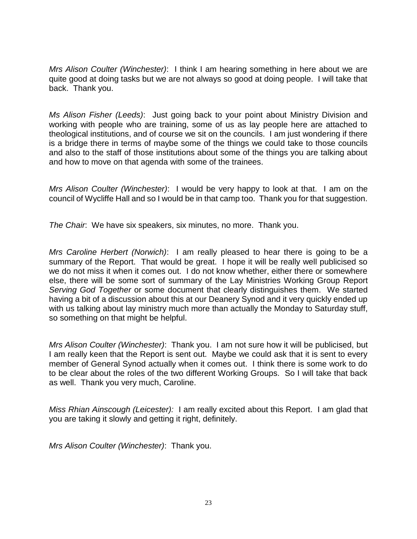*Mrs Alison Coulter (Winchester)*: I think I am hearing something in here about we are quite good at doing tasks but we are not always so good at doing people. I will take that back. Thank you.

*Ms Alison Fisher (Leeds)*: Just going back to your point about Ministry Division and working with people who are training, some of us as lay people here are attached to theological institutions, and of course we sit on the councils. I am just wondering if there is a bridge there in terms of maybe some of the things we could take to those councils and also to the staff of those institutions about some of the things you are talking about and how to move on that agenda with some of the trainees.

*Mrs Alison Coulter (Winchester)*: I would be very happy to look at that. I am on the council of Wycliffe Hall and so I would be in that camp too. Thank you for that suggestion.

*The Chair*: We have six speakers, six minutes, no more. Thank you.

*Mrs Caroline Herbert (Norwich)*: I am really pleased to hear there is going to be a summary of the Report. That would be great. I hope it will be really well publicised so we do not miss it when it comes out. I do not know whether, either there or somewhere else, there will be some sort of summary of the Lay Ministries Working Group Report *Serving God Together* or some document that clearly distinguishes them. We started having a bit of a discussion about this at our Deanery Synod and it very quickly ended up with us talking about lay ministry much more than actually the Monday to Saturday stuff, so something on that might be helpful.

*Mrs Alison Coulter (Winchester)*: Thank you. I am not sure how it will be publicised, but I am really keen that the Report is sent out. Maybe we could ask that it is sent to every member of General Synod actually when it comes out. I think there is some work to do to be clear about the roles of the two different Working Groups. So I will take that back as well. Thank you very much, Caroline.

*Miss Rhian Ainscough (Leicester):* I am really excited about this Report. I am glad that you are taking it slowly and getting it right, definitely.

*Mrs Alison Coulter (Winchester)*: Thank you.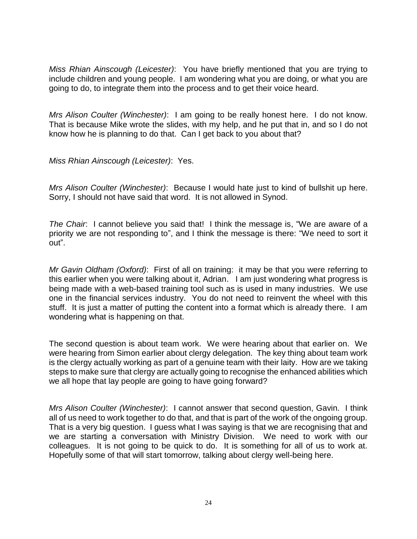*Miss Rhian Ainscough (Leicester)*: You have briefly mentioned that you are trying to include children and young people. I am wondering what you are doing, or what you are going to do, to integrate them into the process and to get their voice heard.

*Mrs Alison Coulter (Winchester)*: I am going to be really honest here. I do not know. That is because Mike wrote the slides, with my help, and he put that in, and so I do not know how he is planning to do that. Can I get back to you about that?

*Miss Rhian Ainscough (Leicester)*: Yes.

*Mrs Alison Coulter (Winchester)*: Because I would hate just to kind of bullshit up here. Sorry, I should not have said that word. It is not allowed in Synod.

*The Chair*: I cannot believe you said that! I think the message is, "We are aware of a priority we are not responding to", and I think the message is there: "We need to sort it out".

*Mr Gavin Oldham (Oxford)*: First of all on training: it may be that you were referring to this earlier when you were talking about it, Adrian. I am just wondering what progress is being made with a web-based training tool such as is used in many industries. We use one in the financial services industry. You do not need to reinvent the wheel with this stuff. It is just a matter of putting the content into a format which is already there. I am wondering what is happening on that.

The second question is about team work. We were hearing about that earlier on. We were hearing from Simon earlier about clergy delegation. The key thing about team work is the clergy actually working as part of a genuine team with their laity. How are we taking steps to make sure that clergy are actually going to recognise the enhanced abilities which we all hope that lay people are going to have going forward?

*Mrs Alison Coulter (Winchester)*: I cannot answer that second question, Gavin. I think all of us need to work together to do that, and that is part of the work of the ongoing group. That is a very big question. I guess what I was saying is that we are recognising that and we are starting a conversation with Ministry Division. We need to work with our colleagues. It is not going to be quick to do. It is something for all of us to work at. Hopefully some of that will start tomorrow, talking about clergy well-being here.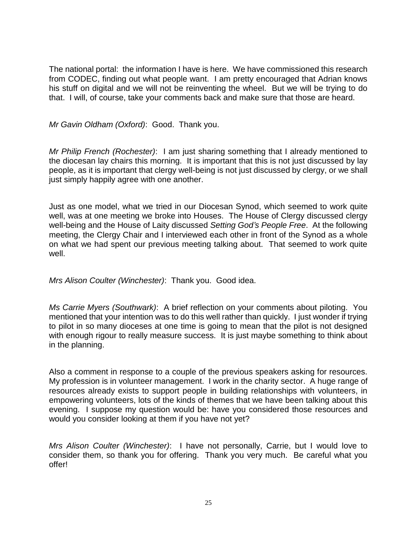The national portal: the information I have is here. We have commissioned this research from CODEC, finding out what people want. I am pretty encouraged that Adrian knows his stuff on digital and we will not be reinventing the wheel. But we will be trying to do that. I will, of course, take your comments back and make sure that those are heard.

*Mr Gavin Oldham (Oxford)*: Good. Thank you.

*Mr Philip French (Rochester)*: I am just sharing something that I already mentioned to the diocesan lay chairs this morning. It is important that this is not just discussed by lay people, as it is important that clergy well-being is not just discussed by clergy, or we shall just simply happily agree with one another.

Just as one model, what we tried in our Diocesan Synod, which seemed to work quite well, was at one meeting we broke into Houses. The House of Clergy discussed clergy well-being and the House of Laity discussed *Setting God's People Free*. At the following meeting, the Clergy Chair and I interviewed each other in front of the Synod as a whole on what we had spent our previous meeting talking about. That seemed to work quite well.

*Mrs Alison Coulter (Winchester)*: Thank you. Good idea.

*Ms Carrie Myers (Southwark)*: A brief reflection on your comments about piloting. You mentioned that your intention was to do this well rather than quickly. I just wonder if trying to pilot in so many dioceses at one time is going to mean that the pilot is not designed with enough rigour to really measure success. It is just maybe something to think about in the planning.

Also a comment in response to a couple of the previous speakers asking for resources. My profession is in volunteer management. I work in the charity sector. A huge range of resources already exists to support people in building relationships with volunteers, in empowering volunteers, lots of the kinds of themes that we have been talking about this evening. I suppose my question would be: have you considered those resources and would you consider looking at them if you have not yet?

*Mrs Alison Coulter (Winchester)*: I have not personally, Carrie, but I would love to consider them, so thank you for offering. Thank you very much. Be careful what you offer!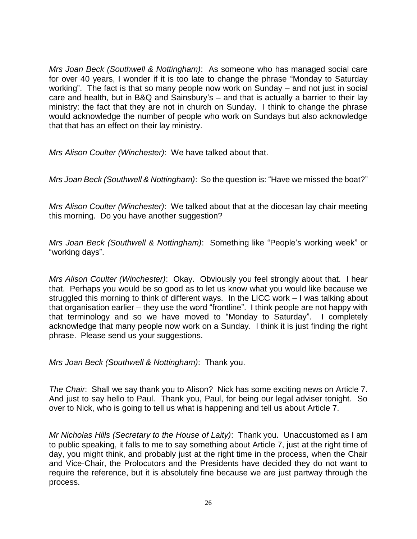*Mrs Joan Beck (Southwell & Nottingham)*: As someone who has managed social care for over 40 years, I wonder if it is too late to change the phrase "Monday to Saturday working". The fact is that so many people now work on Sunday – and not just in social care and health, but in B&Q and Sainsbury's – and that is actually a barrier to their lay ministry: the fact that they are not in church on Sunday. I think to change the phrase would acknowledge the number of people who work on Sundays but also acknowledge that that has an effect on their lay ministry.

*Mrs Alison Coulter (Winchester)*: We have talked about that.

*Mrs Joan Beck (Southwell & Nottingham)*: So the question is: "Have we missed the boat?"

*Mrs Alison Coulter (Winchester)*: We talked about that at the diocesan lay chair meeting this morning. Do you have another suggestion?

*Mrs Joan Beck (Southwell & Nottingham)*: Something like "People's working week" or "working days".

*Mrs Alison Coulter (Winchester)*: Okay. Obviously you feel strongly about that. I hear that. Perhaps you would be so good as to let us know what you would like because we struggled this morning to think of different ways. In the LICC work – I was talking about that organisation earlier – they use the word "frontline". I think people are not happy with that terminology and so we have moved to "Monday to Saturday". I completely acknowledge that many people now work on a Sunday. I think it is just finding the right phrase. Please send us your suggestions.

*Mrs Joan Beck (Southwell & Nottingham)*: Thank you.

*The Chair*: Shall we say thank you to Alison? Nick has some exciting news on Article 7. And just to say hello to Paul. Thank you, Paul, for being our legal adviser tonight. So over to Nick, who is going to tell us what is happening and tell us about Article 7.

*Mr Nicholas Hills (Secretary to the House of Laity)*: Thank you. Unaccustomed as I am to public speaking, it falls to me to say something about Article 7, just at the right time of day, you might think, and probably just at the right time in the process, when the Chair and Vice-Chair, the Prolocutors and the Presidents have decided they do not want to require the reference, but it is absolutely fine because we are just partway through the process.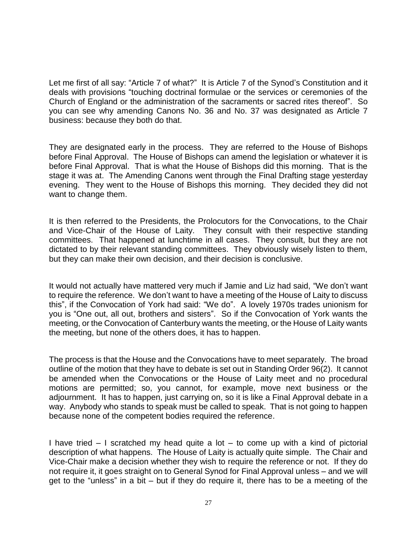Let me first of all say: "Article 7 of what?" It is Article 7 of the Synod's Constitution and it deals with provisions "touching doctrinal formulae or the services or ceremonies of the Church of England or the administration of the sacraments or sacred rites thereof". So you can see why amending Canons No. 36 and No. 37 was designated as Article 7 business: because they both do that.

They are designated early in the process. They are referred to the House of Bishops before Final Approval. The House of Bishops can amend the legislation or whatever it is before Final Approval. That is what the House of Bishops did this morning. That is the stage it was at. The Amending Canons went through the Final Drafting stage yesterday evening. They went to the House of Bishops this morning. They decided they did not want to change them.

It is then referred to the Presidents, the Prolocutors for the Convocations, to the Chair and Vice-Chair of the House of Laity. They consult with their respective standing committees. That happened at lunchtime in all cases. They consult, but they are not dictated to by their relevant standing committees. They obviously wisely listen to them, but they can make their own decision, and their decision is conclusive.

It would not actually have mattered very much if Jamie and Liz had said, "We don't want to require the reference. We don't want to have a meeting of the House of Laity to discuss this", if the Convocation of York had said: "We do". A lovely 1970s trades unionism for you is "One out, all out, brothers and sisters". So if the Convocation of York wants the meeting, or the Convocation of Canterbury wants the meeting, or the House of Laity wants the meeting, but none of the others does, it has to happen.

The process is that the House and the Convocations have to meet separately. The broad outline of the motion that they have to debate is set out in Standing Order 96(2). It cannot be amended when the Convocations or the House of Laity meet and no procedural motions are permitted; so, you cannot, for example, move next business or the adjournment. It has to happen, just carrying on, so it is like a Final Approval debate in a way. Anybody who stands to speak must be called to speak. That is not going to happen because none of the competent bodies required the reference.

I have tried – I scratched my head quite a lot – to come up with a kind of pictorial description of what happens. The House of Laity is actually quite simple. The Chair and Vice-Chair make a decision whether they wish to require the reference or not. If they do not require it, it goes straight on to General Synod for Final Approval unless – and we will get to the "unless" in a bit – but if they do require it, there has to be a meeting of the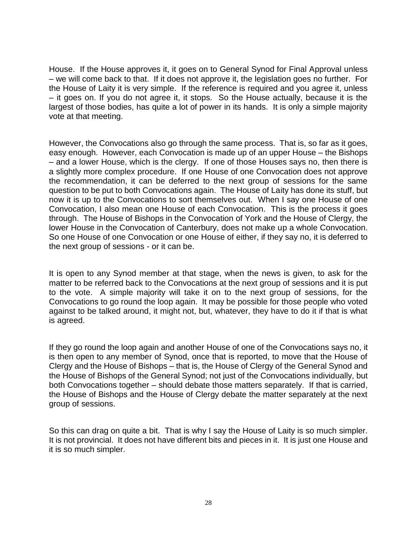House. If the House approves it, it goes on to General Synod for Final Approval unless – we will come back to that. If it does not approve it, the legislation goes no further. For the House of Laity it is very simple. If the reference is required and you agree it, unless – it goes on. If you do not agree it, it stops. So the House actually, because it is the largest of those bodies, has quite a lot of power in its hands. It is only a simple majority vote at that meeting.

However, the Convocations also go through the same process. That is, so far as it goes, easy enough. However, each Convocation is made up of an upper House – the Bishops – and a lower House, which is the clergy. If one of those Houses says no, then there is a slightly more complex procedure. If one House of one Convocation does not approve the recommendation, it can be deferred to the next group of sessions for the same question to be put to both Convocations again. The House of Laity has done its stuff, but now it is up to the Convocations to sort themselves out. When I say one House of one Convocation, I also mean one House of each Convocation. This is the process it goes through. The House of Bishops in the Convocation of York and the House of Clergy, the lower House in the Convocation of Canterbury, does not make up a whole Convocation. So one House of one Convocation or one House of either, if they say no, it is deferred to the next group of sessions - or it can be.

It is open to any Synod member at that stage, when the news is given, to ask for the matter to be referred back to the Convocations at the next group of sessions and it is put to the vote. A simple majority will take it on to the next group of sessions, for the Convocations to go round the loop again. It may be possible for those people who voted against to be talked around, it might not, but, whatever, they have to do it if that is what is agreed.

If they go round the loop again and another House of one of the Convocations says no, it is then open to any member of Synod, once that is reported, to move that the House of Clergy and the House of Bishops – that is, the House of Clergy of the General Synod and the House of Bishops of the General Synod; not just of the Convocations individually, but both Convocations together – should debate those matters separately. If that is carried, the House of Bishops and the House of Clergy debate the matter separately at the next group of sessions.

So this can drag on quite a bit. That is why I say the House of Laity is so much simpler. It is not provincial. It does not have different bits and pieces in it. It is just one House and it is so much simpler.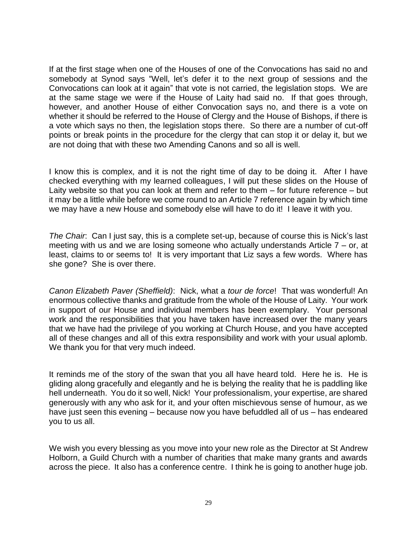If at the first stage when one of the Houses of one of the Convocations has said no and somebody at Synod says "Well, let's defer it to the next group of sessions and the Convocations can look at it again" that vote is not carried, the legislation stops. We are at the same stage we were if the House of Laity had said no. If that goes through, however, and another House of either Convocation says no, and there is a vote on whether it should be referred to the House of Clergy and the House of Bishops, if there is a vote which says no then, the legislation stops there. So there are a number of cut-off points or break points in the procedure for the clergy that can stop it or delay it, but we are not doing that with these two Amending Canons and so all is well.

I know this is complex, and it is not the right time of day to be doing it. After I have checked everything with my learned colleagues, I will put these slides on the House of Laity website so that you can look at them and refer to them – for future reference – but it may be a little while before we come round to an Article 7 reference again by which time we may have a new House and somebody else will have to do it! I leave it with you.

*The Chair*: Can I just say, this is a complete set-up, because of course this is Nick's last meeting with us and we are losing someone who actually understands Article 7 – or, at least, claims to or seems to! It is very important that Liz says a few words. Where has she gone? She is over there.

*Canon Elizabeth Paver (Sheffield)*: Nick, what a *tour de force*! That was wonderful! An enormous collective thanks and gratitude from the whole of the House of Laity. Your work in support of our House and individual members has been exemplary. Your personal work and the responsibilities that you have taken have increased over the many years that we have had the privilege of you working at Church House, and you have accepted all of these changes and all of this extra responsibility and work with your usual aplomb. We thank you for that very much indeed.

It reminds me of the story of the swan that you all have heard told. Here he is. He is gliding along gracefully and elegantly and he is belying the reality that he is paddling like hell underneath. You do it so well, Nick! Your professionalism, your expertise, are shared generously with any who ask for it, and your often mischievous sense of humour, as we have just seen this evening – because now you have befuddled all of us – has endeared you to us all.

We wish you every blessing as you move into your new role as the Director at St Andrew Holborn, a Guild Church with a number of charities that make many grants and awards across the piece. It also has a conference centre. I think he is going to another huge job.